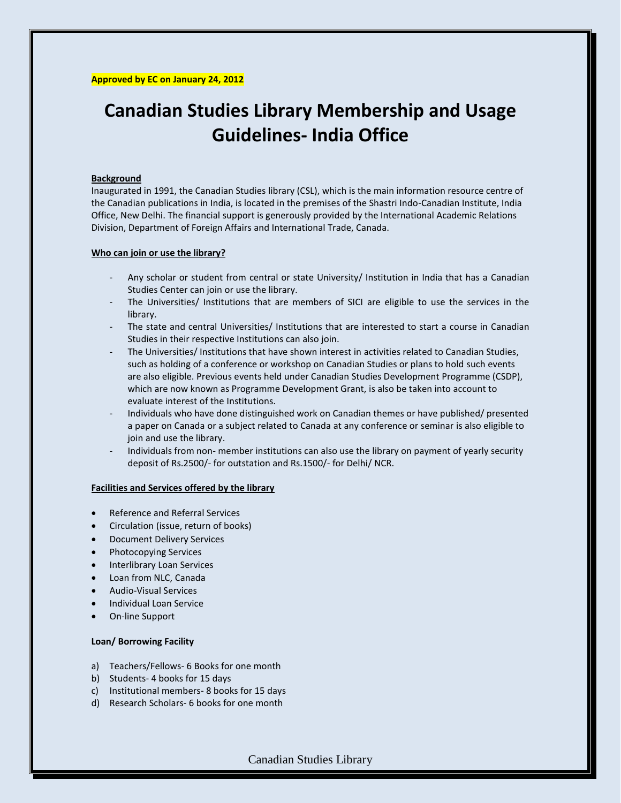# **Canadian Studies Library Membership and Usage Guidelines- India Office**

## **Background**

Inaugurated in 1991, the Canadian Studies library (CSL), which is the main information resource centre of the Canadian publications in India, is located in the premises of the Shastri Indo-Canadian Institute, India Office, New Delhi. The financial support is generously provided by the International Academic Relations Division, Department of Foreign Affairs and International Trade, Canada.

#### **Who can join or use the library?**

- Any scholar or student from central or state University/ Institution in India that has a Canadian Studies Center can join or use the library.
- The Universities/ Institutions that are members of SICI are eligible to use the services in the library.
- The state and central Universities/ Institutions that are interested to start a course in Canadian Studies in their respective Institutions can also join.
- The Universities/ Institutions that have shown interest in activities related to Canadian Studies, such as holding of a conference or workshop on Canadian Studies or plans to hold such events are also eligible. Previous events held under Canadian Studies Development Programme (CSDP), which are now known as Programme Development Grant, is also be taken into account to evaluate interest of the Institutions.
- Individuals who have done distinguished work on Canadian themes or have published/ presented a paper on Canada or a subject related to Canada at any conference or seminar is also eligible to join and use the library.
- Individuals from non- member institutions can also use the library on payment of yearly security deposit of Rs.2500/- for outstation and Rs.1500/- for Delhi/ NCR.

## **Facilities and Services offered by the library**

- Reference and Referral Services
- Circulation (issue, return of books)
- Document Delivery Services
- Photocopying Services
- Interlibrary Loan Services
- Loan from NLC, Canada
- Audio-Visual Services
- Individual Loan Service
- On-line Support

## **Loan/ Borrowing Facility**

- a) Teachers/Fellows- 6 Books for one month
- b) Students- 4 books for 15 days
- c) Institutional members- 8 books for 15 days
- d) Research Scholars- 6 books for one month

Canadian Studies Library